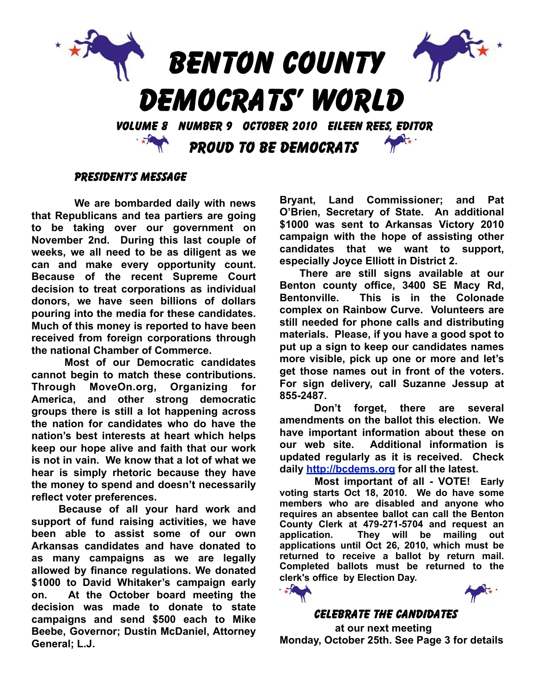

### PRESIDENT'S MESSAGE

**We are bombarded daily with news that Republicans and tea partiers are going to be taking over our government on November 2nd. During this last couple of weeks, we all need to be as diligent as we can and make every opportunity count. Because of the recent Supreme Court decision to treat corporations as individual donors, we have seen billions of dollars pouring into the media for these candidates. Much of this money is reported to have been received from foreign corporations through the national Chamber of Commerce.** 

**Most of our Democratic candidates cannot begin to match these contributions. Through MoveOn.org, Organizing for America, and other strong democratic groups there is still a lot happening across the nation for candidates who do have the nation's best interests at heart which helps keep our hope alive and faith that our work is not in vain. We know that a lot of what we hear is simply rhetoric because they have the money to spend and doesn't necessarily reflect voter preferences.** 

**Because of all your hard work and support of fund raising activities, we have been able to assist some of our own Arkansas candidates and have donated to as many campaigns as we are legally allowed by finance regulations. We donated \$1000 to David Whitaker's campaign early on. At the October board meeting the decision was made to donate to state campaigns and send \$500 each to Mike Beebe, Governor; Dustin McDaniel, Attorney General; L.J.** 

**Bryant, Land Commissioner; and Pat O'Brien, Secretary of State. An additional \$1000 was sent to Arkansas Victory 2010 campaign with the hope of assisting other candidates that we want to support, especially Joyce Elliott in District 2.**

**There are still signs available at our Benton county office, 3400 SE Macy Rd, Bentonville. This is in the Colonade complex on Rainbow Curve. Volunteers are still needed for phone calls and distributing materials. Please, if you have a good spot to put up a sign to keep our candidates names more visible, pick up one or more and let's get those names out in front of the voters. For sign delivery, call Suzanne Jessup at 855-2487.** 

**Don't forget, there are several amendments on the ballot this election. We have important information about these on our web site. Additional information is updated regularly as it is received. Check daily<http://bcdems.org>for all the latest.**

**Most important of all - VOTE! Early voting starts Oct 18, 2010. We do have some members who are disabled and anyone who requires an absentee ballot can call the Benton County Clerk at 479-271-5704 and request an application. They will be mailing out applications until Oct 26, 2010, which must be returned to receive a ballot by return mail. Completed ballots must be returned to the clerk's office by Election Day.** 



### CELEBRATE THE CANDIDATES

 **at our next meeting Monday, October 25th. See Page 3 for details**